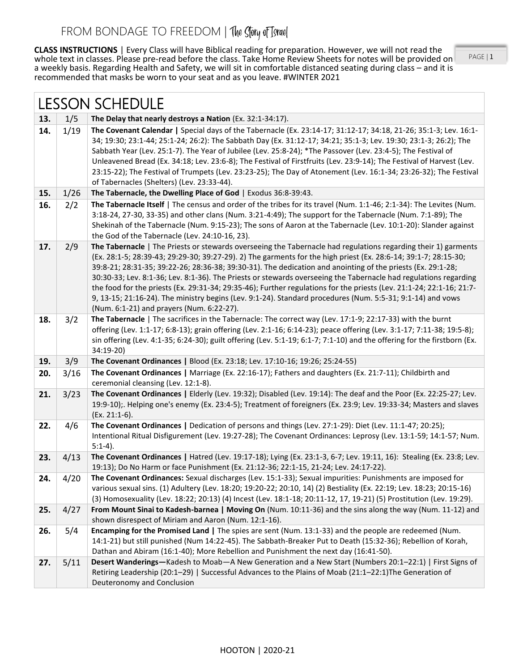**CLASS INSTRUCTIONS** | Every Class will have Biblical reading for preparation. However, we will not read the whole text in classes. Please pre-read before the class. Take Home Review Sheets for notes will be provided on a weekly basis. Regarding Health and Safety, we will sit in comfortable distanced seating during class – and it is recommended that masks be worn to your seat and as you leave. #WINTER 2021

PAGE | 1

| <b>LESSON SCHEDULE</b> |      |                                                                                                                                                                                                                                                                                                                                                                                                                                                                                                                                                                                                                                                                                                                                                         |
|------------------------|------|---------------------------------------------------------------------------------------------------------------------------------------------------------------------------------------------------------------------------------------------------------------------------------------------------------------------------------------------------------------------------------------------------------------------------------------------------------------------------------------------------------------------------------------------------------------------------------------------------------------------------------------------------------------------------------------------------------------------------------------------------------|
| 13.                    | 1/5  | The Delay that nearly destroys a Nation (Ex. 32:1-34:17).                                                                                                                                                                                                                                                                                                                                                                                                                                                                                                                                                                                                                                                                                               |
| 14.                    | 1/19 | The Covenant Calendar   Special days of the Tabernacle (Ex. 23:14-17; 31:12-17; 34:18, 21-26; 35:1-3; Lev. 16:1-<br>34; 19:30; 23:1-44; 25:1-24; 26:2): The Sabbath Day (Ex. 31:12-17; 34:21; 35:1-3; Lev. 19:30; 23:1-3; 26:2); The<br>Sabbath Year (Lev. 25:1-7). The Year of Jubilee (Lev. 25:8-24); *The Passover (Lev. 23:4-5); The Festival of<br>Unleavened Bread (Ex. 34:18; Lev. 23:6-8); The Festival of Firstfruits (Lev. 23:9-14); The Festival of Harvest (Lev.<br>23:15-22); The Festival of Trumpets (Lev. 23:23-25); The Day of Atonement (Lev. 16:1-34; 23:26-32); The Festival<br>of Tabernacles (Shelters) (Lev. 23:33-44).                                                                                                          |
| 15.                    | 1/26 | The Tabernacle, the Dwelling Place of God   Exodus 36:8-39:43.                                                                                                                                                                                                                                                                                                                                                                                                                                                                                                                                                                                                                                                                                          |
| 16.                    | 2/2  | The Tabernacle Itself   The census and order of the tribes for its travel (Num. 1:1-46; 2:1-34): The Levites (Num.<br>3:18-24, 27-30, 33-35) and other clans (Num. 3:21-4:49); The support for the Tabernacle (Num. 7:1-89); The<br>Shekinah of the Tabernacle (Num. 9:15-23); The sons of Aaron at the Tabernacle (Lev. 10:1-20): Slander against<br>the God of the Tabernacle (Lev. 24:10-16, 23).                                                                                                                                                                                                                                                                                                                                                    |
| 17.                    | 2/9  | The Tabernacle   The Priests or stewards overseeing the Tabernacle had regulations regarding their 1) garments<br>(Ex. 28:1-5; 28:39-43; 29:29-30; 39:27-29). 2) The garments for the high priest (Ex. 28:6-14; 39:1-7; 28:15-30;<br>39:8-21; 28:31-35; 39:22-26; 28:36-38; 39:30-31). The dedication and anointing of the priests (Ex. 29:1-28;<br>30:30-33; Lev. 8:1-36; Lev. 8:1-36). The Priests or stewards overseeing the Tabernacle had regulations regarding<br>the food for the priests (Ex. 29:31-34; 29:35-46); Further regulations for the priests (Lev. 21:1-24; 22:1-16; 21:7-<br>9, 13-15; 21:16-24). The ministry begins (Lev. 9:1-24). Standard procedures (Num. 5:5-31; 9:1-14) and vows<br>(Num. 6:1-21) and prayers (Num. 6:22-27). |
| 18.                    | 3/2  | The Tabernacle   The sacrifices in the Tabernacle: The correct way (Lev. 17:1-9; 22:17-33) with the burnt<br>offering (Lev. 1:1-17; 6:8-13); grain offering (Lev. 2:1-16; 6:14-23); peace offering (Lev. 3:1-17; 7:11-38; 19:5-8);<br>sin offering (Lev. 4:1-35; 6:24-30); guilt offering (Lev. 5:1-19; 6:1-7; 7:1-10) and the offering for the firstborn (Ex.<br>34:19-20)                                                                                                                                                                                                                                                                                                                                                                             |
| 19.                    | 3/9  | The Covenant Ordinances   Blood (Ex. 23:18; Lev. 17:10-16; 19:26; 25:24-55)                                                                                                                                                                                                                                                                                                                                                                                                                                                                                                                                                                                                                                                                             |
| 20.                    | 3/16 | The Covenant Ordinances   Marriage (Ex. 22:16-17); Fathers and daughters (Ex. 21:7-11); Childbirth and<br>ceremonial cleansing (Lev. 12:1-8).                                                                                                                                                                                                                                                                                                                                                                                                                                                                                                                                                                                                           |
| 21.                    | 3/23 | The Covenant Ordinances   Elderly (Lev. 19:32); Disabled (Lev. 19:14): The deaf and the Poor (Ex. 22:25-27; Lev.<br>19:9-10);. Helping one's enemy (Ex. 23:4-5); Treatment of foreigners (Ex. 23:9; Lev. 19:33-34; Masters and slaves<br>(Ex. 21:1-6).                                                                                                                                                                                                                                                                                                                                                                                                                                                                                                  |
| 22.                    | 4/6  | The Covenant Ordinances   Dedication of persons and things (Lev. 27:1-29): Diet (Lev. 11:1-47; 20:25);<br>Intentional Ritual Disfigurement (Lev. 19:27-28); The Covenant Ordinances: Leprosy (Lev. 13:1-59; 14:1-57; Num.<br>$5:1-4$ ).                                                                                                                                                                                                                                                                                                                                                                                                                                                                                                                 |
| 23.                    | 4/13 | The Covenant Ordinances   Hatred (Lev. 19:17-18); Lying (Ex. 23:1-3, 6-7; Lev. 19:11, 16): Stealing (Ex. 23:8; Lev.<br>19:13); Do No Harm or face Punishment (Ex. 21:12-36; 22:1-15, 21-24; Lev. 24:17-22).                                                                                                                                                                                                                                                                                                                                                                                                                                                                                                                                             |
| 24.                    | 4/20 | The Covenant Ordinances: Sexual discharges (Lev. 15:1-33); Sexual impurities: Punishments are imposed for<br>various sexual sins. (1) Adultery (Lev. 18:20; 19:20-22; 20:10, 14) (2) Bestiality (Ex. 22:19; Lev. 18:23; 20:15-16)<br>(3) Homosexuality (Lev. 18:22; 20:13) (4) Incest (Lev. 18:1-18; 20:11-12, 17, 19-21) (5) Prostitution (Lev. 19:29).                                                                                                                                                                                                                                                                                                                                                                                                |
| 25.                    | 4/27 | From Mount Sinai to Kadesh-barnea   Moving On (Num. 10:11-36) and the sins along the way (Num. 11-12) and<br>shown disrespect of Miriam and Aaron (Num. 12:1-16).                                                                                                                                                                                                                                                                                                                                                                                                                                                                                                                                                                                       |
| 26.                    | 5/4  | Encamping for the Promised Land   The spies are sent (Num. 13:1-33) and the people are redeemed (Num.<br>14:1-21) but still punished (Num 14:22-45). The Sabbath-Breaker Put to Death (15:32-36); Rebellion of Korah,<br>Dathan and Abiram (16:1-40); More Rebellion and Punishment the next day (16:41-50).                                                                                                                                                                                                                                                                                                                                                                                                                                            |
| 27.                    | 5/11 | Desert Wanderings-Kadesh to Moab-A New Generation and a New Start (Numbers 20:1-22:1)   First Signs of<br>Retiring Leadership (20:1-29)   Successful Advances to the Plains of Moab (21:1-22:1) The Generation of<br>Deuteronomy and Conclusion                                                                                                                                                                                                                                                                                                                                                                                                                                                                                                         |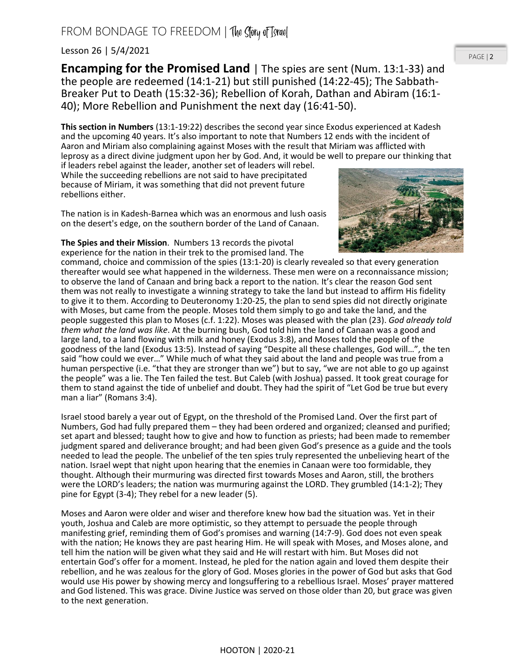## FROM BONDAGE TO FREEDOM | The Story of Tsrael

## Lesson 26 | 5/4/2021

**Encamping for the Promised Land** | The spies are sent (Num. 13:1-33) and the people are redeemed (14:1-21) but still punished (14:22-45); The Sabbath-Breaker Put to Death (15:32-36); Rebellion of Korah, Dathan and Abiram (16:1- 40); More Rebellion and Punishment the next day (16:41-50).

**This section in Numbers** (13:1-19:22) describes the second year since Exodus experienced at Kadesh and the upcoming 40 years. It's also important to note that Numbers 12 ends with the incident of Aaron and Miriam also complaining against Moses with the result that Miriam was afflicted with leprosy as a direct divine judgment upon her by God. And, it would be well to prepare our thinking that

if leaders rebel against the leader, another set of leaders will rebel. While the succeeding rebellions are not said to have precipitated because of Miriam, it was something that did not prevent future rebellions either.

The nation is in Kadesh-Barnea which was an enormous and lush oasis on the desert's edge, on the southern border of the Land of Canaan.

## **The Spies and their Mission**. Numbers 13 records the pivotal experience for the nation in their trek to the promised land. The

command, choice and commission of the spies (13:1-20) is clearly revealed so that every generation thereafter would see what happened in the wilderness. These men were on a reconnaissance mission; to observe the land of Canaan and bring back a report to the nation. It's clear the reason God sent them was not really to investigate a winning strategy to take the land but instead to affirm His fidelity to give it to them. According to Deuteronomy 1:20-25, the plan to send spies did not directly originate with Moses, but came from the people. Moses told them simply to go and take the land, and the people suggested this plan to Moses (c.f. 1:22). Moses was pleased with the plan (23). *God already told them what the land was like*. At the burning bush, God told him the land of Canaan was a good and large land, to a land flowing with milk and honey (Exodus 3:8), and Moses told the people of the goodness of the land (Exodus 13:5). Instead of saying "Despite all these challenges, God will…", the ten said "how could we ever…" While much of what they said about the land and people was true from a human perspective (i.e. "that they are stronger than we") but to say, "we are not able to go up against the people" was a lie. The Ten failed the test. But Caleb (with Joshua) passed. It took great courage for them to stand against the tide of unbelief and doubt. They had the spirit of "Let God be true but every man a liar" (Romans 3:4).

Israel stood barely a year out of Egypt, on the threshold of the Promised Land. Over the first part of Numbers, God had fully prepared them – they had been ordered and organized; cleansed and purified; set apart and blessed; taught how to give and how to function as priests; had been made to remember judgment spared and deliverance brought; and had been given God's presence as a guide and the tools needed to lead the people. The unbelief of the ten spies truly represented the unbelieving heart of the nation. Israel wept that night upon hearing that the enemies in Canaan were too formidable, they thought. Although their murmuring was directed first towards Moses and Aaron, still, the brothers were the LORD's leaders; the nation was murmuring against the LORD. They grumbled (14:1-2); They pine for Egypt (3-4); They rebel for a new leader (5).

Moses and Aaron were older and wiser and therefore knew how bad the situation was. Yet in their youth, Joshua and Caleb are more optimistic, so they attempt to persuade the people through manifesting grief, reminding them of God's promises and warning (14:7-9). God does not even speak with the nation; He knows they are past hearing Him. He will speak with Moses, and Moses alone, and tell him the nation will be given what they said and He will restart with him. But Moses did not entertain God's offer for a moment. Instead, he pled for the nation again and loved them despite their rebellion, and he was zealous for the glory of God. Moses glories in the power of God but asks that God would use His power by showing mercy and longsuffering to a rebellious Israel. Moses' prayer mattered and God listened. This was grace. Divine Justice was served on those older than 20, but grace was given to the next generation.